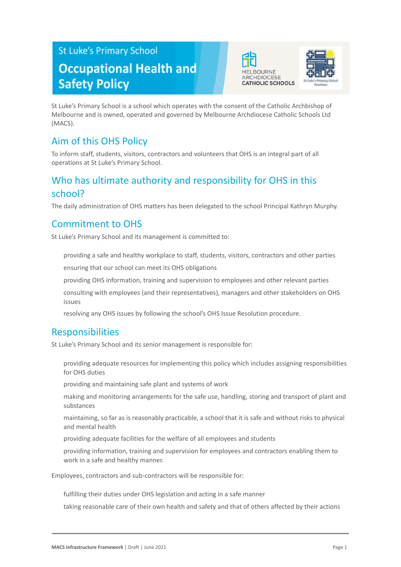# **St Luke's Primary School Occupational Health and Safety Policy**





St Luke's Primary School is a school which operates with the consent of the Catholic Archbishop of Melbourne and is owned, operated and governed by Melbourne Archdiocese Catholic Schools Ltd (MACS).

## Aim of this OHS Policy

To inform staff, students, visitors, contractors and volunteers that OHS is an integral part of all operations at St Luke's Primary School.

## Who has ultimate authority and responsibility for OHS in this school?

The daily administration of OHS matters has been delegated to the school Principal Kathryn Murphy.

## Commitment to OHS

St Luke's Primary School and its management is committed to:

providing a safe and healthy workplace to staff, students, visitors, contractors and other parties

ensuring that our school can meet its OHS obligations

providing OHS information, training and supervision to employees and other relevant parties

● consulting with employees (and their representatives), managers and other stakeholders on OHS issues

resolving any OHS issues by following the school's OHS Issue Resolution procedure.

## Responsibilities

St Luke's Primary School and its senior management is responsible for:

providing adequate resources for implementing this policy which includes assigning responsibilities for OHS duties

providing and maintaining safe plant and systems of work

making and monitoring arrangements for the safe use, handling, storing and transport of plant and substances

maintaining, so far as is reasonably practicable, a school that it is safe and without risks to physical and mental health

providing adequate facilities for the welfare of all employees and students

providing information, training and supervision for employees and contractors enabling them to work in a safe and healthy manner.

Employees, contractors and sub-contractors will be responsible for:

fulfilling their duties under OHS legislation and acting in a safe manner

taking reasonable care of their own health and safety and that of others affected by their actions